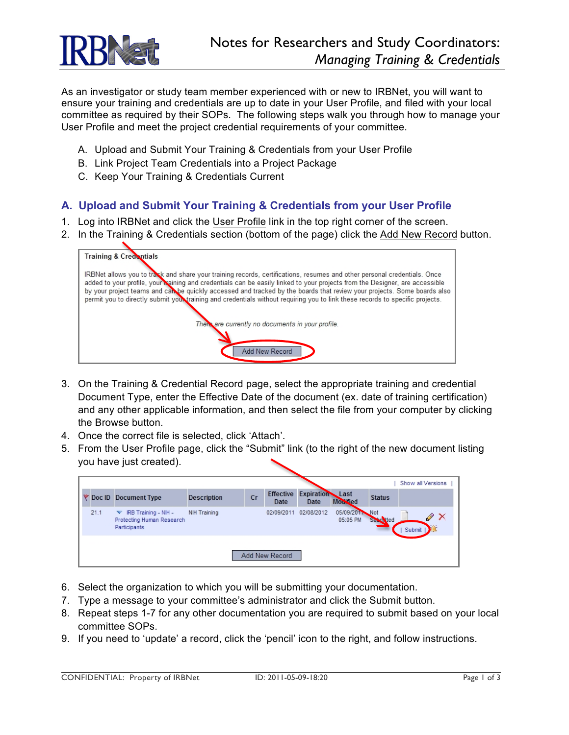

As an investigator or study team member experienced with or new to IRBNet, you will want to ensure your training and credentials are up to date in your User Profile, and filed with your local committee as required by their SOPs. The following steps walk you through how to manage your User Profile and meet the project credential requirements of your committee.

- A. Upload and Submit Your Training & Credentials from your User Profile
- B. Link Project Team Credentials into a Project Package
- C. Keep Your Training & Credentials Current

## **A. Upload and Submit Your Training & Credentials from your User Profile**

- 1. Log into IRBNet and click the User Profile link in the top right corner of the screen.
- 2. In the Training & Credentials section (bottom of the page) click the Add New Record button.



- 3. On the Training & Credential Record page, select the appropriate training and credential Document Type, enter the Effective Date of the document (ex. date of training certification) and any other applicable information, and then select the file from your computer by clicking the Browse button.
- 4. Once the correct file is selected, click 'Attach'.
- 5. From the User Profile page, click the "Submit" link (to the right of the new document listing you have just created).

|      |                                                                        |                    |    |                          |                                |                            |               | Show all Versions |                                |  |
|------|------------------------------------------------------------------------|--------------------|----|--------------------------|--------------------------------|----------------------------|---------------|-------------------|--------------------------------|--|
|      | Doc ID Document Type                                                   | <b>Description</b> | Cr | <b>Effective</b><br>Date | <b>Expiration</b> Last<br>Date | Mourfied                   | <b>Status</b> |                   |                                |  |
| 21.1 | IRB Training - NIH -<br>▼<br>Protecting Human Research<br>Participants | NIH Training       |    | 02/09/2011               | 02/08/2012                     | 05/09/2011 Not<br>05:05 PM | Submitted     | Submit            | $\mathscr{P} \mathbin{\times}$ |  |
|      |                                                                        |                    |    | Add New Record           |                                |                            |               |                   |                                |  |

- 6. Select the organization to which you will be submitting your documentation.
- 7. Type a message to your committee's administrator and click the Submit button.
- 8. Repeat steps 1-7 for any other documentation you are required to submit based on your local committee SOPs.
- 9. If you need to 'update' a record, click the 'pencil' icon to the right, and follow instructions.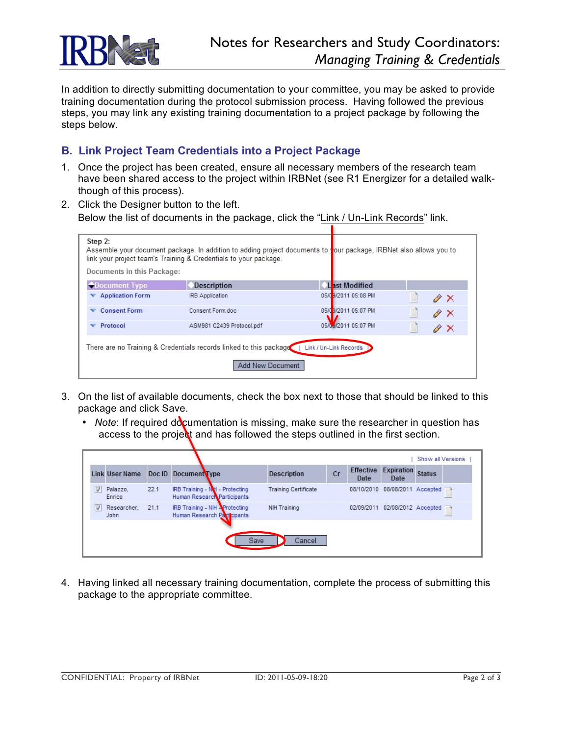

In addition to directly submitting documentation to your committee, you may be asked to provide training documentation during the protocol submission process. Having followed the previous steps, you may link any existing training documentation to a project package by following the steps below.

## **B. Link Project Team Credentials into a Project Package**

- 1. Once the project has been created, ensure all necessary members of the research team have been shared access to the project within IRBNet (see R1 Energizer for a detailed walkthough of this process).
- 2. Click the Designer button to the left. Below the list of documents in the package, click the "Link / Un-Link Records" link.

| Step 2:<br>Documents in this Package:                                                                            | link your project team's Training & Credentials to your package. |                      | Assemble your document package. In addition to adding project documents to vour package, IRBNet also allows you to |  |  |  |  |  |  |
|------------------------------------------------------------------------------------------------------------------|------------------------------------------------------------------|----------------------|--------------------------------------------------------------------------------------------------------------------|--|--|--|--|--|--|
| <i><b>OD</b></i> Document Type                                                                                   | <b>Description</b>                                               | Last Modified        |                                                                                                                    |  |  |  |  |  |  |
| <b>Application Form</b>                                                                                          | <b>IRB</b> Application                                           | 05/09/2011 05:08 PM  | $\mathscr{P} \mathsf{X}$                                                                                           |  |  |  |  |  |  |
| <b>Consent Form</b>                                                                                              | Consent Form.doc                                                 | 05/09/2011 05:07 PM  | $\mathscr{P}$ $\times$                                                                                             |  |  |  |  |  |  |
| Protocol                                                                                                         | ASM981 C2439 Protocol.pdf                                        | 05/6.4/2011 05:07 PM | $\mathscr{P} \times$                                                                                               |  |  |  |  |  |  |
| There are no Training & Credentials records linked to this package<br>Link / Un-Link Records<br>Add New Document |                                                                  |                      |                                                                                                                    |  |  |  |  |  |  |

- 3. On the list of available documents, check the box next to those that should be linked to this package and click Save.
	- *Note*: If required documentation is missing, make sure the researcher in question has access to the project and has followed the steps outlined in the first section.

|                | Show all Versions     |      |                                                               |                             |           |                          |                                |               |   |
|----------------|-----------------------|------|---------------------------------------------------------------|-----------------------------|-----------|--------------------------|--------------------------------|---------------|---|
|                | <b>Link User Name</b> |      | Doc ID Document Type                                          | <b>Description</b>          | <b>Cr</b> | <b>Effective</b><br>Date | <b>Expiration</b><br>Date      | <b>Status</b> |   |
|                | Palazzo.<br>Enrico    | 22.1 | IRB Training - NH - Protecting<br>Human Research Participants | <b>Training Certificate</b> |           |                          | 08/10/2010 08/08/2011 Accepted |               |   |
|                | Researcher.<br>John   | 21.1 | IRB Training - NIH AProtecting<br>Human Research Participants | NIH Training                |           | 02/09/2011               | 02/08/2012 Accepted            |               | ▁ |
| Save<br>Cancel |                       |      |                                                               |                             |           |                          |                                |               |   |

4. Having linked all necessary training documentation, complete the process of submitting this package to the appropriate committee.